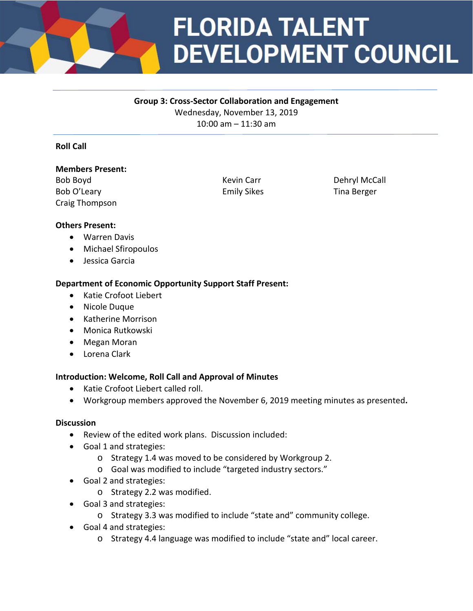

# **FLORIDA TALENT DEVELOPMENT COUNCIL**

### **Group 3: Cross-Sector Collaboration and Engagement**

Wednesday, November 13, 2019 10:00 am – 11:30 am

### **Roll Call**

#### **Members Present:**

Bob Boyd **Kevin Carr** Carr Dehryl McCall Bob O'Leary Emily Sikes Tina Berger Craig Thompson

### **Others Present:**

- Warren Davis
- Michael Sfiropoulos
- Jessica Garcia

## **Department of Economic Opportunity Support Staff Present:**

- Katie Crofoot Liebert
- Nicole Duque
- Katherine Morrison
- Monica Rutkowski
- Megan Moran
- Lorena Clark

### **Introduction: Welcome, Roll Call and Approval of Minutes**

- Katie Crofoot Liebert called roll.
- Workgroup members approved the November 6, 2019 meeting minutes as presented**.**

### **Discussion**

- Review of the edited work plans. Discussion included:
- Goal 1 and strategies:
	- o Strategy 1.4 was moved to be considered by Workgroup 2.
	- o Goal was modified to include "targeted industry sectors."
- Goal 2 and strategies:
	- o Strategy 2.2 was modified.
- Goal 3 and strategies:
	- o Strategy 3.3 was modified to include "state and" community college.
- Goal 4 and strategies:
	- o Strategy 4.4 language was modified to include "state and" local career.